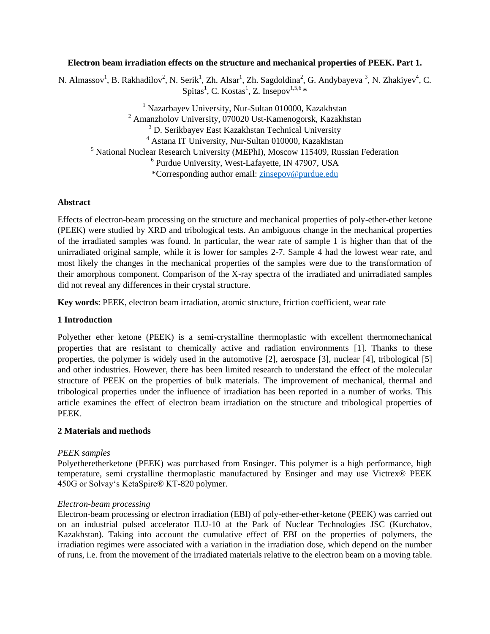### **Electron beam irradiation effects on the structure and mechanical properties of PEEK. Part 1.**

N. Almassov<sup>1</sup>, B. Rakhadilov<sup>2</sup>, N. Serik<sup>1</sup>, Zh. Alsar<sup>1</sup>, Zh. Sagdoldina<sup>2</sup>, G. Andybayeva <sup>3</sup>, N. Zhakiyev<sup>4</sup>, C. Spitas<sup>1</sup>, C. Kostas<sup>1</sup>, Z. Insepov<sup>1,5,6</sup> \*

 Nazarbayev University, Nur-Sultan 010000, Kazakhstan Amanzholov University, 070020 Ust-Kamenogorsk, Kazakhstan <sup>3</sup> D. Serikbayev East Kazakhstan Technical University Astana IT University, Nur-Sultan 010000, Kazakhstan National Nuclear Research University (MEPhI), Moscow 115409, Russian Federation Purdue University, West-Lafayette, IN 47907, USA \*Corresponding author email: [zinsepov@purdue.edu](mailto:zinsepov@purdue.edu)

### **Abstract**

Effects of electron-beam processing on the structure and mechanical properties of poly-ether-ether ketone (PEEK) were studied by XRD and tribological tests. An ambiguous change in the mechanical properties of the irradiated samples was found. In particular, the wear rate of sample 1 is higher than that of the unirradiated original sample, while it is lower for samples 2-7. Sample 4 had the lowest wear rate, and most likely the changes in the mechanical properties of the samples were due to the transformation of their amorphous component. Comparison of the X-ray spectra of the irradiated and unirradiated samples did not reveal any differences in their crystal structure.

**Key words**: PEEK, electron beam irradiation, atomic structure, friction coefficient, wear rate

## **1 Introduction**

Polyether ether ketone (PEEK) is a semi-crystalline thermoplastic with excellent thermomechanical properties that are resistant to chemically active and radiation environments [1]. Thanks to these properties, the polymer is widely used in the automotive [2], aerospace [3], nuclear [4], tribological [5] and other industries. However, there has been limited research to understand the effect of the molecular structure of PEEK on the properties of bulk materials. The improvement of mechanical, thermal and tribological properties under the influence of irradiation has been reported in a number of works. This article examines the effect of electron beam irradiation on the structure and tribological properties of PEEK.

#### **2 Materials and methods**

#### *PEEK samples*

Polyetheretherketone (PEEK) was purchased from Ensinger. This polymer is a high performance, high temperature, semi crystalline thermoplastic manufactured by Ensinger and may use Victrex® PEEK 450G or Solvay's KetaSpire® KT-820 polymer.

#### *Electron-beam processing*

Electron-beam processing or electron irradiation (EBI) of poly-ether-ether-ketone (PEEK) was carried out on an industrial pulsed accelerator ILU-10 at the Park of Nuclear Technologies JSC (Kurchatov, Kazakhstan). Taking into account the cumulative effect of EBI on the properties of polymers, the irradiation regimes were associated with a variation in the irradiation dose, which depend on the number of runs, i.e. from the movement of the irradiated materials relative to the electron beam on a moving table.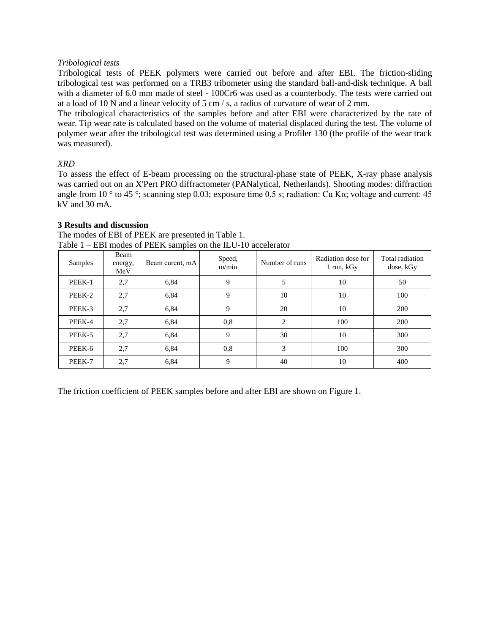## *Tribological tests*

Tribological tests of PEEK polymers were carried out before and after EBI. The friction-sliding tribological test was performed on a TRB3 tribometer using the standard ball-and-disk technique. A ball with a diameter of 6.0 mm made of steel - 100Cr6 was used as a counterbody. The tests were carried out at a load of 10 N and a linear velocity of 5 cm / s, a radius of curvature of wear of 2 mm.

The tribological characteristics of the samples before and after EBI were characterized by the rate of wear. Tip wear rate is calculated based on the volume of material displaced during the test. The volume of polymer wear after the tribological test was determined using a Profiler 130 (the profile of the wear track was measured).

# *XRD*

To assess the effect of E-beam processing on the structural-phase state of PEEK, X-ray phase analysis was carried out on an X'Pert PRO diffractometer (PANalytical, Netherlands). Shooting modes: diffraction angle from 10 ° to 45 °; scanning step 0.03; exposure time 0.5 s; radiation: Cu Kα; voltage and current: 45 kV and 30 mA.

## **3 Results and discussion**

| Samples | Beam<br>energy,<br>MeV | Beam curent, mA | Speed,<br>m/min | Number of runs | Radiation dose for<br>1 run, kGy | Total radiation<br>dose, kGy |
|---------|------------------------|-----------------|-----------------|----------------|----------------------------------|------------------------------|
| PEEK-1  | 2,7                    | 6,84            | 9               | 5              | 10                               | 50                           |
| PEEK-2  | 2,7                    | 6,84            | 9               | 10             | 10                               | 100                          |
| PEEK-3  | 2,7                    | 6,84            | 9               | 20             | 10                               | 200                          |
| PEEK-4  | 2,7                    | 6,84            | 0,8             | $\overline{c}$ | 100                              | <b>200</b>                   |
| PEEK-5  | 2,7                    | 6,84            | 9               | 30             | 10                               | 300                          |
| PEEK-6  | 2,7                    | 6,84            | 0.8             | 3              | 100                              | 300                          |
| PEEK-7  | 2,7                    | 6,84            | 9               | 40             | 10                               | 400                          |

The modes of EBI of PEEK are presented in Table 1. Table 1 – EBI modes of PEEK samples on the ILU-10 accelerator

The friction coefficient of PEEK samples before and after EBI are shown on Figure 1.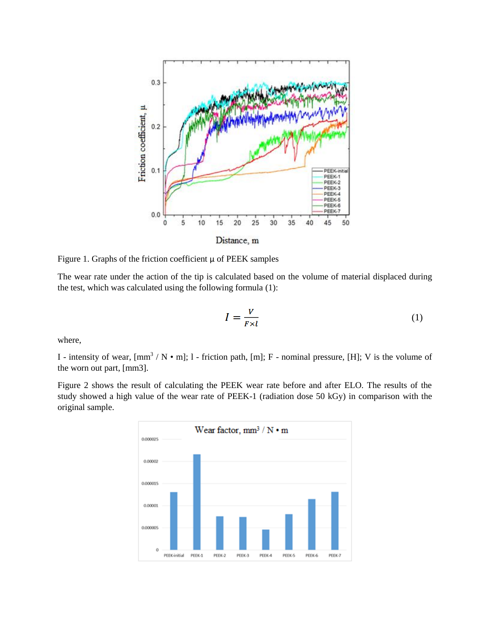

Figure 1. Graphs of the friction coefficient μ of PEEK samples

The wear rate under the action of the tip is calculated based on the volume of material displaced during the test, which was calculated using the following formula (1):

$$
I = \frac{V}{F \times l} \tag{1}
$$

where,

I - intensity of wear,  $\text{[mm}^3 / N \cdot m$ ; 1 - friction path,  $\text{[m]}$ ; F - nominal pressure,  $\text{[H]}$ ; V is the volume of the worn out part, [mm3].

Figure 2 shows the result of calculating the PEEK wear rate before and after ELO. The results of the study showed a high value of the wear rate of PEEK-1 (radiation dose 50 kGy) in comparison with the original sample.

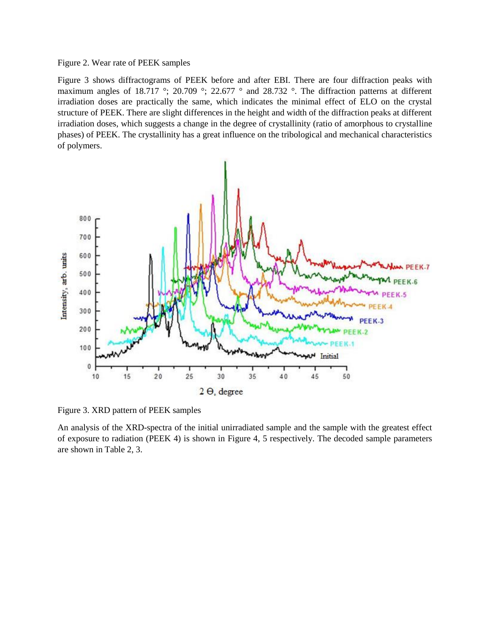### Figure 2. Wear rate of PEEK samples

Figure 3 shows diffractograms of PEEK before and after EBI. There are four diffraction peaks with maximum angles of 18.717 °; 20.709 °; 22.677 ° and 28.732 °. The diffraction patterns at different irradiation doses are practically the same, which indicates the minimal effect of ELO on the crystal structure of PEEK. There are slight differences in the height and width of the diffraction peaks at different irradiation doses, which suggests a change in the degree of crystallinity (ratio of amorphous to crystalline phases) of PEEK. The crystallinity has a great influence on the tribological and mechanical characteristics of polymers.



Figure 3. XRD pattern of PEEK samples

An analysis of the XRD-spectra of the initial unirradiated sample and the sample with the greatest effect of exposure to radiation (PEEK 4) is shown in Figure 4, 5 respectively. The decoded sample parameters are shown in Table 2, 3.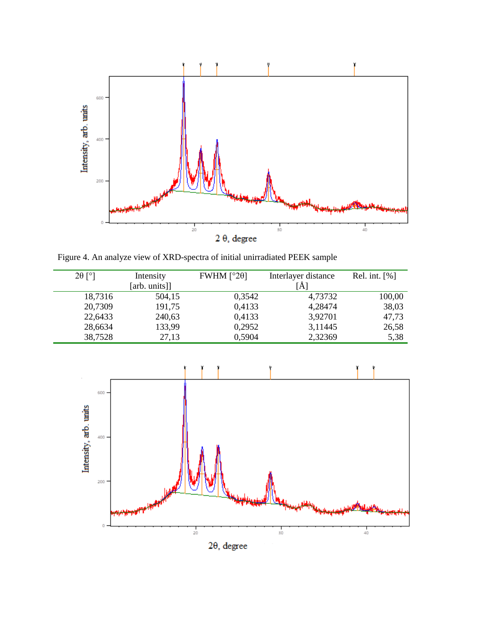

Figure 4. An analyze view of XRD-spectra of initial unirradiated PEEK sample

| $2\theta$ [°] | Intensity     | FWHM $[°20]$ | Interlayer distance | Rel. int. $[%]$ |
|---------------|---------------|--------------|---------------------|-----------------|
|               | [arb. units]] |              | A                   |                 |
| 18,7316       | 504,15        | 0,3542       | 4,73732             | 100,00          |
| 20,7309       | 191,75        | 0,4133       | 4,28474             | 38,03           |
| 22,6433       | 240,63        | 0,4133       | 3,92701             | 47,73           |
| 28,6634       | 133,99        | 0,2952       | 3,11445             | 26,58           |
| 38,7528       | 27,13         | 0,5904       | 2,32369             | 5,38            |



 $2\theta$ , degree